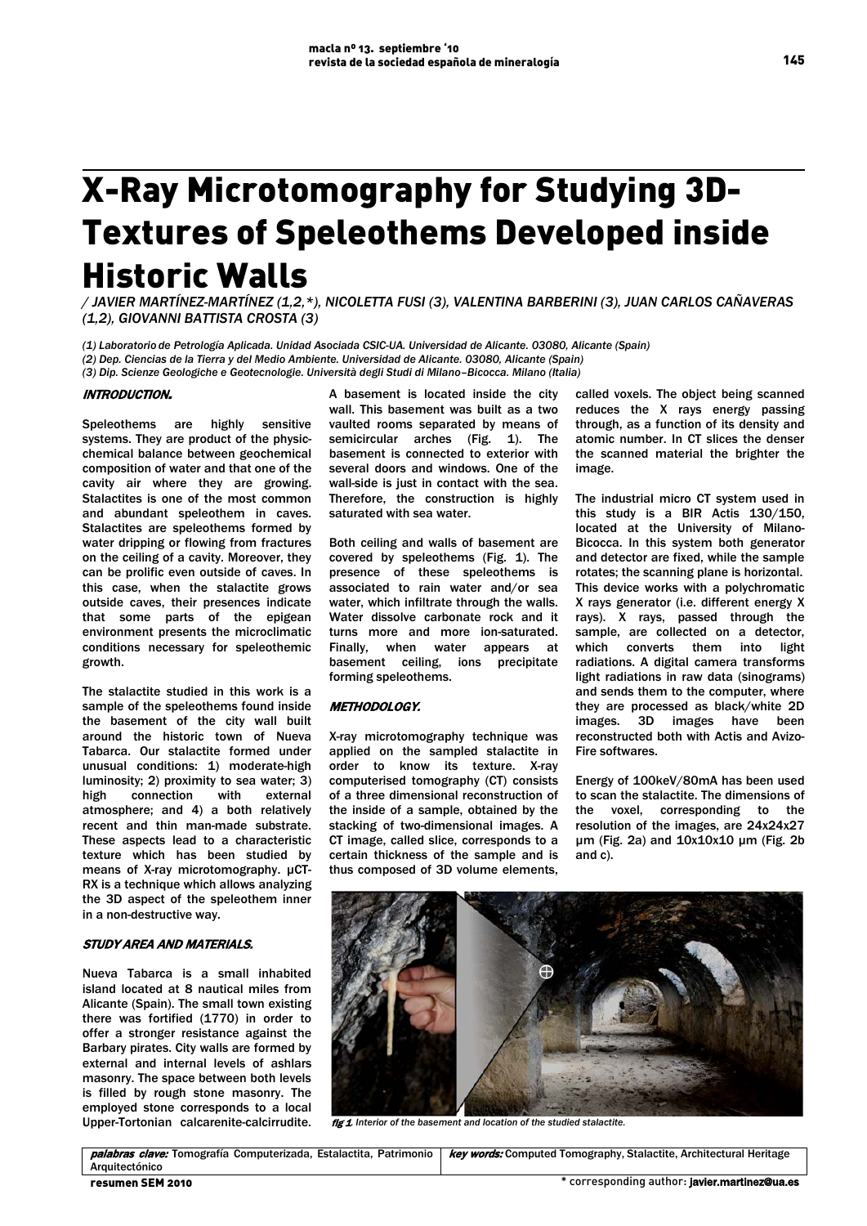# X-Ray Microtomography for Studying 3D-Textures of Speleothems Developed inside Historic Walls

*/ JAVIER MARTÍNEZ-MARTÍNEZ (1,2,\*), NICOLETTA FUSI (3), VALENTINA BARBERINI (3), JUAN CARLOS CAÑAVERAS (1,2), GIOVANNI BATTISTA CROSTA (3)*

*(1) Laboratorio de Petrología Aplicada. Unidad Asociada CSIC-UA. Universidad de Alicante. 03080, Alicante (Spain)*

*(2) Dep. Ciencias de la Tierra y del Medio Ambiente. Universidad de Alicante. 03080, Alicante (Spain)*

*(3) Dip. Scienze Geologiche e Geotecnologie. Università degli Studi di Milano–Bicocca. Milano (Italia)*

## INTRODUCTION.

 Speleothems are highly sensitive systems. They are product of the physicchemical balance between geochemical composition of water and that one of the cavity air where they are growing. Stalactites is one of the most common and abundant speleothem in caves. Stalactites are speleothems formed by water dripping or flowing from fractures on the ceiling of a cavity. Moreover, they can be prolific even outside of caves. In this case, when the stalactite grows outside caves, their presences indicate that some parts of the epigean environment presents the microclimatic conditions necessary for speleothemic growth.

The stalactite studied in this work is a sample of the speleothems found inside the basement of the city wall built around the historic town of Nueva Tabarca. Our stalactite formed under unusual conditions: 1) moderate-high luminosity; 2) proximity to sea water; 3) high connection with external atmosphere; and 4) a both relatively recent and thin man-made substrate. These aspects lead to a characteristic texture which has been studied by means of X-ray microtomography. µCT-RX is a technique which allows analyzing the 3D aspect of the speleothem inner in a non-destructive way.

## STUDY AREA AND MATERIALS.

Nueva Tabarca is a small inhabited island located at 8 nautical miles from Alicante (Spain). The small town existing there was fortified (1770) in order to offer a stronger resistance against the Barbary pirates. City walls are formed by external and internal levels of ashlars masonry. The space between both levels is filled by rough stone masonry. The employed stone corresponds to a local Upper-Tortonian calcarenite-calcirrudite.

A basement is located inside the city wall. This basement was built as a two vaulted rooms separated by means of semicircular arches (Fig. 1). The basement is connected to exterior with several doors and windows. One of the wall-side is just in contact with the sea. Therefore, the construction is highly saturated with sea water.

Both ceiling and walls of basement are covered by speleothems (Fig. 1). The presence of these speleothems is associated to rain water and/or sea water, which infiltrate through the walls. Water dissolve carbonate rock and it turns more and more ion-saturated. Finally, when water appears at basement ceiling, ions precipitate forming speleothems.

#### METHODOLOGY.

X-ray microtomography technique was applied on the sampled stalactite in order to know its texture. X-ray computerised tomography (CT) consists of a three dimensional reconstruction of the inside of a sample, obtained by the stacking of two-dimensional images. A CT image, called slice, corresponds to a certain thickness of the sample and is thus composed of 3D volume elements,

called voxels. The object being scanned reduces the X rays energy passing through, as a function of its density and atomic number. In CT slices the denser the scanned material the brighter the image.

The industrial micro CT system used in this study is a BIR Actis 130/150, located at the University of Milano-Bicocca. In this system both generator and detector are fixed, while the sample rotates; the scanning plane is horizontal. This device works with a polychromatic X rays generator (i.e. different energy X rays). X rays, passed through the sample, are collected on a detector, which converts them into light radiations. A digital camera transforms light radiations in raw data (sinograms) and sends them to the computer, where they are processed as black/white 2D images. 3D images have been reconstructed both with Actis and Avizo-Fire softwares.

Energy of 100keV/80mA has been used to scan the stalactite. The dimensions of the voxel, corresponding to the resolution of the images, are 24x24x27 µm (Fig. 2a) and 10x10x10 µm (Fig. 2b and c).



fig 1*. Interior of the basement and location of the studied stalactite.*

145

palabras clave: Tomografía Computerizada, Estalactita, Patrimonio Arquitectónico **key words:** Computed Tomography, Stalactite, Architectural Heritage